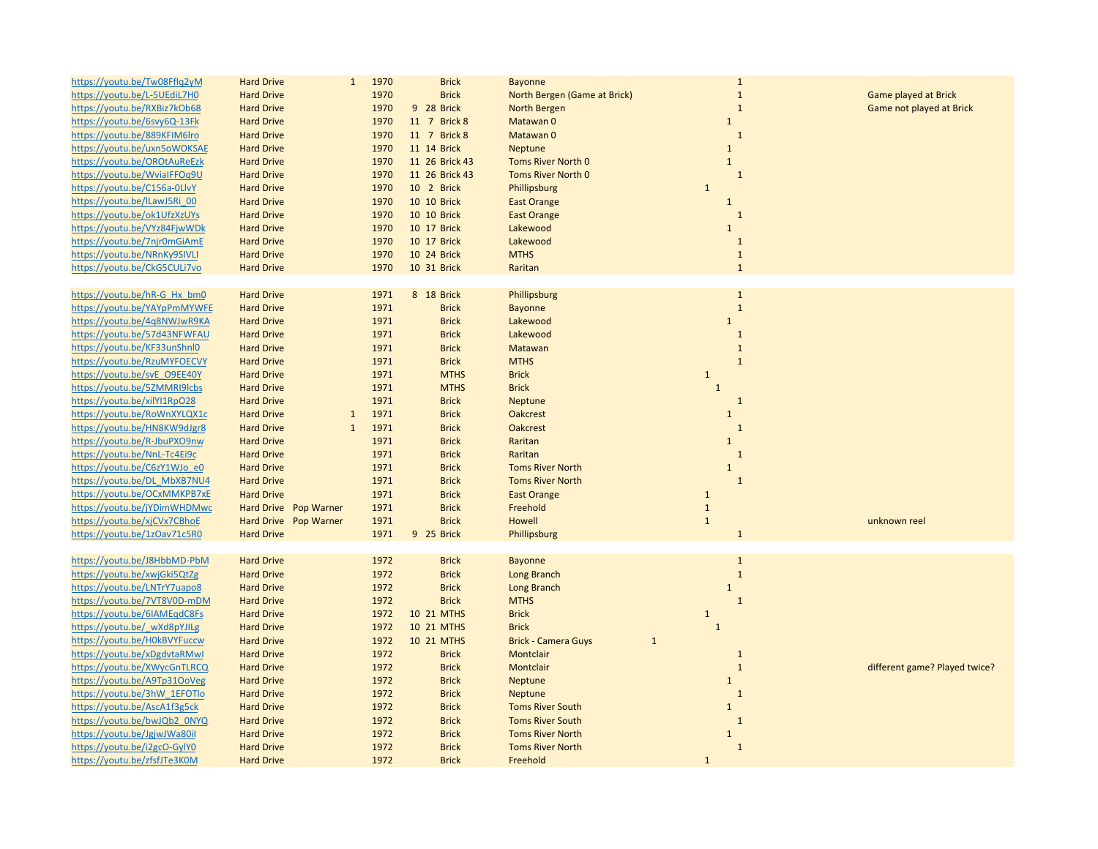| https://youtu.be/Tw08Fflq2yM | <b>Hard Drive</b><br>$\mathbf{1}$ | 1970 | <b>Brick</b>   | <b>Bayonne</b>               | $\mathbf{1}$ |                               |
|------------------------------|-----------------------------------|------|----------------|------------------------------|--------------|-------------------------------|
| https://youtu.be/L-5UEdiL7H0 | <b>Hard Drive</b>                 | 1970 | <b>Brick</b>   | North Bergen (Game at Brick) | $\mathbf{1}$ | Game played at Brick          |
| https://youtu.be/RXBiz7kOb68 | <b>Hard Drive</b>                 | 1970 | 9 28 Brick     | North Bergen                 | $\mathbf{1}$ | Game not played at Brick      |
| https://youtu.be/6svy6Q-13Fk | <b>Hard Drive</b>                 | 1970 | 11 7 Brick 8   | Matawan 0                    | $\mathbf{1}$ |                               |
| https://youtu.be/889KFIM6lro | <b>Hard Drive</b>                 | 1970 | 11 7 Brick 8   | Matawan 0                    | $\mathbf{1}$ |                               |
| https://youtu.be/uxn5oWOKSAE | <b>Hard Drive</b>                 | 1970 | 11 14 Brick    | Neptune                      | $\mathbf{1}$ |                               |
| https://youtu.be/OROtAuReEzk | <b>Hard Drive</b>                 | 1970 | 11 26 Brick 43 | <b>Toms River North 0</b>    | $\mathbf{1}$ |                               |
| https://youtu.be/WvialFFOq9U | <b>Hard Drive</b>                 | 1970 | 11 26 Brick 43 | <b>Toms River North 0</b>    | $\mathbf{1}$ |                               |
| https://youtu.be/C156a-0LlvY | <b>Hard Drive</b>                 | 1970 | 10 2 Brick     | Phillipsburg                 | $\mathbf{1}$ |                               |
| https://youtu.be/lLawJ5Ri 00 | <b>Hard Drive</b>                 | 1970 | 10 10 Brick    | <b>East Orange</b>           | $\mathbf 1$  |                               |
| https://youtu.be/ok1UfzXzUYs | <b>Hard Drive</b>                 | 1970 | 10 10 Brick    | <b>East Orange</b>           | $\mathbf{1}$ |                               |
| https://youtu.be/VYz84FjwWDk | <b>Hard Drive</b>                 | 1970 | 10 17 Brick    | Lakewood                     | $\mathbf{1}$ |                               |
| https://youtu.be/7njr0mGiAmE | <b>Hard Drive</b>                 | 1970 | 10 17 Brick    | Lakewood                     | $\mathbf{1}$ |                               |
| https://youtu.be/NRnKy9SIVLI | <b>Hard Drive</b>                 | 1970 | 10 24 Brick    | <b>MTHS</b>                  | $\mathbf{1}$ |                               |
| https://youtu.be/CkG5CULi7vo | <b>Hard Drive</b>                 | 1970 | 10 31 Brick    | Raritan                      | $\mathbf{1}$ |                               |
|                              |                                   |      |                |                              |              |                               |
| https://youtu.be/hR-G_Hx_bm0 | <b>Hard Drive</b>                 | 1971 | 8 18 Brick     | Phillipsburg                 | $\mathbf{1}$ |                               |
| https://youtu.be/YAYpPmMYWFE | <b>Hard Drive</b>                 | 1971 | <b>Brick</b>   | <b>Bayonne</b>               | $\mathbf{1}$ |                               |
| https://youtu.be/4q8NWJwR9KA | <b>Hard Drive</b>                 | 1971 | <b>Brick</b>   | Lakewood                     | $\mathbf{1}$ |                               |
| https://youtu.be/57d43NFWFAU | <b>Hard Drive</b>                 | 1971 | <b>Brick</b>   | Lakewood                     | $\mathbf{1}$ |                               |
| https://youtu.be/KF33unShnl0 |                                   | 1971 |                |                              | $\mathbf{1}$ |                               |
|                              | <b>Hard Drive</b>                 |      | <b>Brick</b>   | Matawan                      | $\mathbf 1$  |                               |
| https://youtu.be/RzuMYFOECVY | <b>Hard Drive</b>                 | 1971 | <b>Brick</b>   | <b>MTHS</b>                  |              |                               |
| https://youtu.be/svE_O9EE40Y | <b>Hard Drive</b>                 | 1971 | <b>MTHS</b>    | <b>Brick</b>                 | $\mathbf{1}$ |                               |
| https://youtu.be/5ZMMRI9lcbs | <b>Hard Drive</b>                 | 1971 | <b>MTHS</b>    | <b>Brick</b>                 | $\mathbf 1$  |                               |
| https://youtu.be/xilYI1RpO28 | <b>Hard Drive</b>                 | 1971 | <b>Brick</b>   | <b>Neptune</b>               | $\mathbf{1}$ |                               |
| https://youtu.be/RoWnXYLQX1c | <b>Hard Drive</b><br>$\mathbf{1}$ | 1971 | <b>Brick</b>   | <b>Oakcrest</b>              | $\mathbf{1}$ |                               |
| https://youtu.be/HN8KW9dJgr8 | $\mathbf{1}$<br><b>Hard Drive</b> | 1971 | <b>Brick</b>   | <b>Oakcrest</b>              | $\mathbf{1}$ |                               |
| https://youtu.be/R-JbuPXO9nw | <b>Hard Drive</b>                 | 1971 | <b>Brick</b>   | Raritan                      | $\mathbf{1}$ |                               |
| https://youtu.be/NnL-Tc4Ei9c | <b>Hard Drive</b>                 | 1971 | <b>Brick</b>   | Raritan                      | $1\,$        |                               |
| https://youtu.be/C6zY1WJo_e0 | <b>Hard Drive</b>                 | 1971 | <b>Brick</b>   | <b>Toms River North</b>      | $\mathbf{1}$ |                               |
| https://youtu.be/DL MbXB7NU4 | <b>Hard Drive</b>                 | 1971 | <b>Brick</b>   | <b>Toms River North</b>      | $1\,$        |                               |
| https://youtu.be/OCxMMKPB7xE | <b>Hard Drive</b>                 | 1971 | <b>Brick</b>   | <b>East Orange</b>           | $\mathbf{1}$ |                               |
| https://youtu.be/jYDimWHDMwc | Hard Drive Pop Warner             | 1971 | <b>Brick</b>   | Freehold                     | $\mathbf{1}$ |                               |
| https://youtu.be/xjCVx7CBhoE | Hard Drive Pop Warner             | 1971 | <b>Brick</b>   | Howell                       | $\mathbf{1}$ | unknown reel                  |
| https://youtu.be/1zOav71c5R0 | <b>Hard Drive</b>                 | 1971 | 9 25 Brick     | Phillipsburg                 | $\mathbf{1}$ |                               |
|                              |                                   |      |                |                              |              |                               |
| https://youtu.be/J8HbbMD-PbM | <b>Hard Drive</b>                 | 1972 | <b>Brick</b>   | <b>Bayonne</b>               | $\mathbf{1}$ |                               |
| https://youtu.be/xwjGki5QtZg | <b>Hard Drive</b>                 | 1972 | <b>Brick</b>   | <b>Long Branch</b>           | $\,1\,$      |                               |
| https://youtu.be/LNTrY7uapo8 | <b>Hard Drive</b>                 | 1972 | <b>Brick</b>   | Long Branch                  | $\mathbf{1}$ |                               |
| https://youtu.be/7VT8V0D-mDM | <b>Hard Drive</b>                 | 1972 | <b>Brick</b>   | <b>MTHS</b>                  | $1\,$        |                               |
| https://youtu.be/6IAMEgdC8Fs | <b>Hard Drive</b>                 | 1972 | 10 21 MTHS     | <b>Brick</b>                 | $\mathbf 1$  |                               |
| https://youtu.be/ wXd8pYJILg | <b>Hard Drive</b>                 | 1972 | 10 21 MTHS     | <b>Brick</b>                 | $\mathbf{1}$ |                               |
| https://youtu.be/H0kBVYFuccw | <b>Hard Drive</b>                 | 1972 | 10 21 MTHS     | <b>Brick - Camera Guys</b>   | $\mathbf{1}$ |                               |
| https://youtu.be/xDgdvtaRMwl | <b>Hard Drive</b>                 | 1972 | <b>Brick</b>   | Montclair                    | $\mathbf{1}$ |                               |
| https://youtu.be/XWycGnTLRCQ | <b>Hard Drive</b>                 | 1972 | <b>Brick</b>   | Montclair                    | $1\,$        | different game? Played twice? |
| https://youtu.be/A9Tp31OoVeg | <b>Hard Drive</b>                 | 1972 | <b>Brick</b>   | Neptune                      | $\mathbf{1}$ |                               |
| https://youtu.be/3hW 1EFOTlo | <b>Hard Drive</b>                 | 1972 | <b>Brick</b>   | Neptune                      | $\mathbf{1}$ |                               |
| https://youtu.be/AscA1f3g5ck | <b>Hard Drive</b>                 | 1972 | <b>Brick</b>   | <b>Toms River South</b>      | $\mathbf{1}$ |                               |
| https://youtu.be/bwJQb2_0NYQ | <b>Hard Drive</b>                 | 1972 | <b>Brick</b>   | <b>Toms River South</b>      | $\mathbf{1}$ |                               |
| https://youtu.be/JgjwJWa80il | <b>Hard Drive</b>                 | 1972 | <b>Brick</b>   | <b>Toms River North</b>      | $\mathbf{1}$ |                               |
| https://youtu.be/i2gcO-GylY0 | <b>Hard Drive</b>                 | 1972 | <b>Brick</b>   | <b>Toms River North</b>      | $\mathbf{1}$ |                               |
| https://youtu.be/zfsfJTe3K0M | <b>Hard Drive</b>                 | 1972 | <b>Brick</b>   | Freehold                     | $\mathbf{1}$ |                               |
|                              |                                   |      |                |                              |              |                               |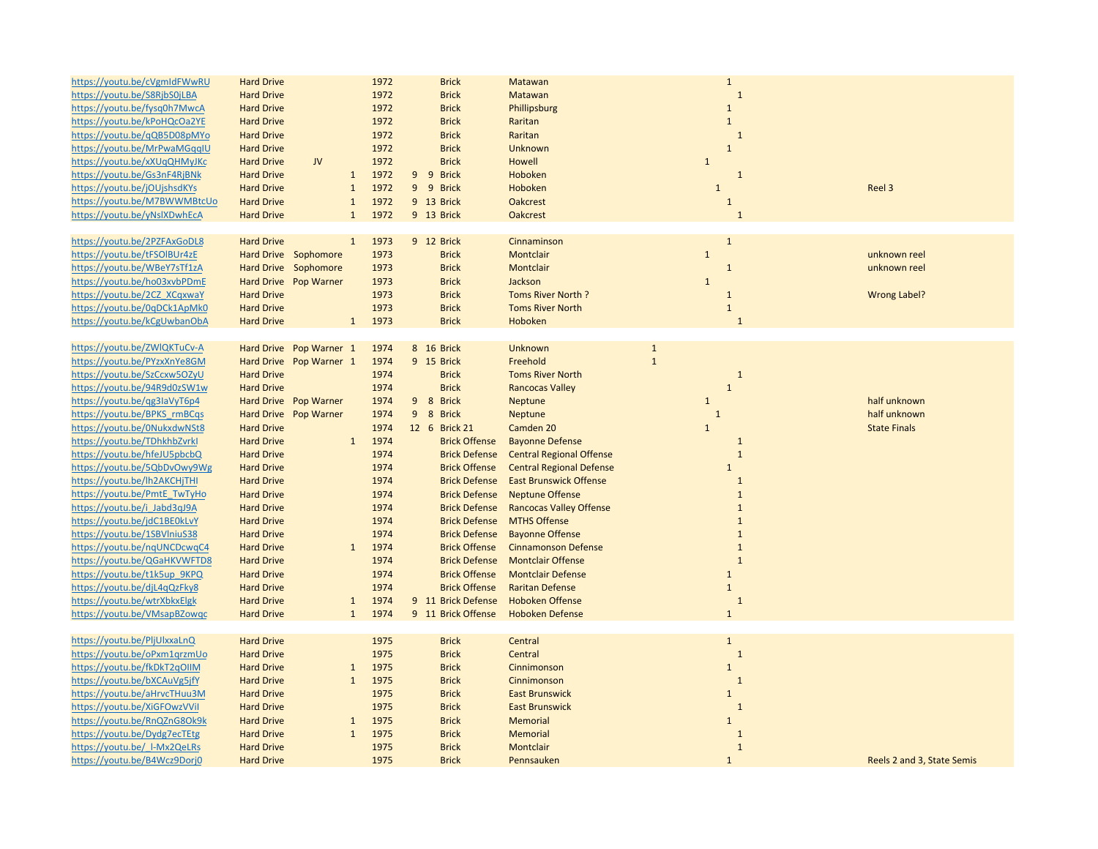| https://youtu.be/cVgmIdFWwRU | <b>Hard Drive</b>       | 1972                 | <b>Brick</b>         | Matawan                         | $\mathbf{1}$   |                            |
|------------------------------|-------------------------|----------------------|----------------------|---------------------------------|----------------|----------------------------|
| https://youtu.be/S8RjbS0jLBA | <b>Hard Drive</b>       | 1972                 | <b>Brick</b>         | Matawan                         | $\overline{1}$ |                            |
| https://youtu.be/fysq0h7MwcA | <b>Hard Drive</b>       | 1972                 | <b>Brick</b>         | Phillipsburg                    | $\mathbf{1}$   |                            |
| https://youtu.be/kPoHQcOa2YE | <b>Hard Drive</b>       | 1972                 | <b>Brick</b>         | Raritan                         | $\mathbf{1}$   |                            |
| https://youtu.be/qQB5D08pMYo | <b>Hard Drive</b>       | 1972                 | <b>Brick</b>         | Raritan                         | $\overline{1}$ |                            |
| https://youtu.be/MrPwaMGqqIU | <b>Hard Drive</b>       | 1972                 | <b>Brick</b>         | Unknown                         | $\mathbf{1}$   |                            |
| https://youtu.be/xXUqQHMyJKc | <b>Hard Drive</b><br>JV | 1972                 | <b>Brick</b>         | Howell                          | $\mathbf{1}$   |                            |
| https://youtu.be/Gs3nF4RjBNk | <b>Hard Drive</b>       | $\mathbf{1}$<br>1972 | 9 9 Brick            | Hoboken                         | $\mathbf{1}$   |                            |
| https://youtu.be/jOUjshsdKYs | <b>Hard Drive</b>       | $\mathbf 1$<br>1972  | 9 9 Brick            | Hoboken                         | $\mathbf{1}$   | Reel 3                     |
| https://youtu.be/M7BWWMBtcUo | <b>Hard Drive</b>       | 1972<br>$\mathbf{1}$ | 9 13 Brick           | <b>Oakcrest</b>                 | $\mathbf{1}$   |                            |
|                              |                         | 1972<br>$\mathbf{1}$ |                      |                                 | $\overline{1}$ |                            |
| https://youtu.be/yNslXDwhEcA | <b>Hard Drive</b>       |                      | 9 13 Brick           | <b>Oakcrest</b>                 |                |                            |
|                              |                         |                      |                      |                                 |                |                            |
| https://youtu.be/2PZFAxGoDL8 | <b>Hard Drive</b>       | 1973<br>$\mathbf{1}$ | 9 12 Brick           | Cinnaminson                     | $\mathbf{1}$   |                            |
| https://youtu.be/tFSOIBUr4zE | Hard Drive Sophomore    | 1973                 | <b>Brick</b>         | Montclair                       | $\mathbf 1$    | unknown reel               |
| https://youtu.be/WBeY7sTf1zA | Hard Drive Sophomore    | 1973                 | <b>Brick</b>         | Montclair                       | $\mathbf{1}$   | unknown reel               |
| https://youtu.be/ho03xvbPDmE | Hard Drive Pop Warner   | 1973                 | <b>Brick</b>         | Jackson                         | $\mathbf{1}$   |                            |
| https://youtu.be/2CZ XCqxwaY | <b>Hard Drive</b>       | 1973                 | <b>Brick</b>         | Toms River North ?              | $\mathbf{1}$   | <b>Wrong Label?</b>        |
| https://youtu.be/0qDCk1ApMk0 | <b>Hard Drive</b>       | 1973                 | <b>Brick</b>         | <b>Toms River North</b>         | $\mathbf{1}$   |                            |
| https://youtu.be/kCgUwbanObA | <b>Hard Drive</b>       | 1973<br>$\mathbf{1}$ | <b>Brick</b>         | Hoboken                         | $\mathbf{1}$   |                            |
|                              |                         |                      |                      |                                 |                |                            |
| https://youtu.be/ZWIQKTuCv-A | Hard Drive Pop Warner 1 | 1974                 | 8 16 Brick           | Unknown                         | $\mathbf 1$    |                            |
| https://youtu.be/PYzxXnYe8GM | Hard Drive Pop Warner 1 | 1974                 | 9 15 Brick           | Freehold                        | $\mathbf{1}$   |                            |
| https://youtu.be/SzCcxw5OZyU | <b>Hard Drive</b>       | 1974                 | <b>Brick</b>         | <b>Toms River North</b>         | $\mathbf{1}$   |                            |
| https://youtu.be/94R9d0zSW1w | <b>Hard Drive</b>       | 1974                 | <b>Brick</b>         | <b>Rancocas Valley</b>          | $\mathbf{1}$   |                            |
| https://youtu.be/qg3laVyT6p4 | Hard Drive Pop Warner   | 1974                 | 9 8 Brick            | Neptune                         | $\mathbf 1$    | half unknown               |
| https://youtu.be/BPKS rmBCqs | Hard Drive Pop Warner   | 1974                 | 9 8 Brick            | Neptune                         | $\mathbf{1}$   | half unknown               |
| https://youtu.be/0NukxdwNSt8 | <b>Hard Drive</b>       | 1974                 | 12 6 Brick 21        | Camden 20                       | $\mathbf{1}$   | <b>State Finals</b>        |
| https://youtu.be/TDhkhbZvrkl | <b>Hard Drive</b>       | 1974<br>$\mathbf{1}$ | <b>Brick Offense</b> | <b>Bayonne Defense</b>          | $\mathbf{1}$   |                            |
| https://youtu.be/hfeJU5pbcbQ | <b>Hard Drive</b>       | 1974                 | <b>Brick Defense</b> | <b>Central Regional Offense</b> | $\mathbf{1}$   |                            |
| https://youtu.be/5QbDvOwy9Wg | <b>Hard Drive</b>       | 1974                 | <b>Brick Offense</b> | <b>Central Regional Defense</b> | $\mathbf{1}$   |                            |
| https://youtu.be/lh2AKCHjTHI | <b>Hard Drive</b>       | 1974                 | <b>Brick Defense</b> | <b>East Brunswick Offense</b>   | $\mathbf{1}$   |                            |
| https://youtu.be/PmtE_TwTyHo | <b>Hard Drive</b>       | 1974                 | <b>Brick Defense</b> | <b>Neptune Offense</b>          | $\mathbf{1}$   |                            |
| https://youtu.be/i Jabd3qJ9A | <b>Hard Drive</b>       | 1974                 | <b>Brick Defense</b> | <b>Rancocas Valley Offense</b>  | $\overline{1}$ |                            |
| https://youtu.be/jdC1BE0kLvY | <b>Hard Drive</b>       | 1974                 | <b>Brick Defense</b> | <b>MTHS Offense</b>             | $\mathbf{1}$   |                            |
|                              |                         |                      |                      |                                 | $\mathbf{1}$   |                            |
| https://youtu.be/1SBVlniuS38 | <b>Hard Drive</b>       | 1974                 | <b>Brick Defense</b> | <b>Bayonne Offense</b>          |                |                            |
| https://youtu.be/nqUNCDcwqC4 | <b>Hard Drive</b>       | 1974<br>$\mathbf{1}$ | <b>Brick Offense</b> | <b>Cinnamonson Defense</b>      | $\overline{1}$ |                            |
| https://youtu.be/QGaHKVWFTD8 | <b>Hard Drive</b>       | 1974                 | <b>Brick Defense</b> | <b>Montclair Offense</b>        | $\mathbf{1}$   |                            |
| https://youtu.be/t1k5up 9KPQ | <b>Hard Drive</b>       | 1974                 | <b>Brick Offense</b> | <b>Montclair Defense</b>        | $\mathbf{1}$   |                            |
| https://youtu.be/djL4qQzFky8 | <b>Hard Drive</b>       | 1974                 | <b>Brick Offense</b> | <b>Raritan Defense</b>          | $\mathbf{1}$   |                            |
| https://youtu.be/wtrXbkxElgk | <b>Hard Drive</b>       | 1974<br>$\mathbf{1}$ | 9 11 Brick Defense   | <b>Hoboken Offense</b>          | $\mathbf{1}$   |                            |
| https://youtu.be/VMsapBZowqc | <b>Hard Drive</b>       | $\mathbf{1}$<br>1974 | 9 11 Brick Offense   | <b>Hoboken Defense</b>          | $\mathbf{1}$   |                            |
|                              |                         |                      |                      |                                 |                |                            |
| https://youtu.be/PljUlxxaLnQ | <b>Hard Drive</b>       | 1975                 | <b>Brick</b>         | Central                         | $\mathbf{1}$   |                            |
| https://youtu.be/oPxm1qrzmUo | <b>Hard Drive</b>       | 1975                 | <b>Brick</b>         | Central                         | $\mathbf{1}$   |                            |
| https://youtu.be/fkDkT2qOIIM | <b>Hard Drive</b>       | 1975<br>$\mathbf{1}$ | <b>Brick</b>         | Cinnimonson                     | $\mathbf{1}$   |                            |
| https://youtu.be/bXCAuVg5jfY | <b>Hard Drive</b>       | $\mathbf{1}$<br>1975 | <b>Brick</b>         | Cinnimonson                     | $\mathbf{1}$   |                            |
| https://youtu.be/aHrvcTHuu3M | <b>Hard Drive</b>       | 1975                 | <b>Brick</b>         | <b>East Brunswick</b>           | $\mathbf{1}$   |                            |
| https://youtu.be/XiGFOwzVVil | <b>Hard Drive</b>       | 1975                 | <b>Brick</b>         | <b>East Brunswick</b>           | $\mathbf{1}$   |                            |
| https://youtu.be/RnQZnG8Ok9k | <b>Hard Drive</b>       | 1975<br>$\mathbf{1}$ | <b>Brick</b>         | Memorial                        | $\mathbf{1}$   |                            |
| https://youtu.be/Dydg7ecTEtg | <b>Hard Drive</b>       | 1975<br>$\mathbf{1}$ | <b>Brick</b>         | Memorial                        | $\mathbf{1}$   |                            |
| https://youtu.be/ I-Mx2QeLRs | <b>Hard Drive</b>       | 1975                 | <b>Brick</b>         | Montclair                       | $\mathbf{1}$   |                            |
| https://youtu.be/B4Wcz9Dorj0 | <b>Hard Drive</b>       | 1975                 | <b>Brick</b>         | Pennsauken                      | $\mathbf{1}$   | Reels 2 and 3, State Semis |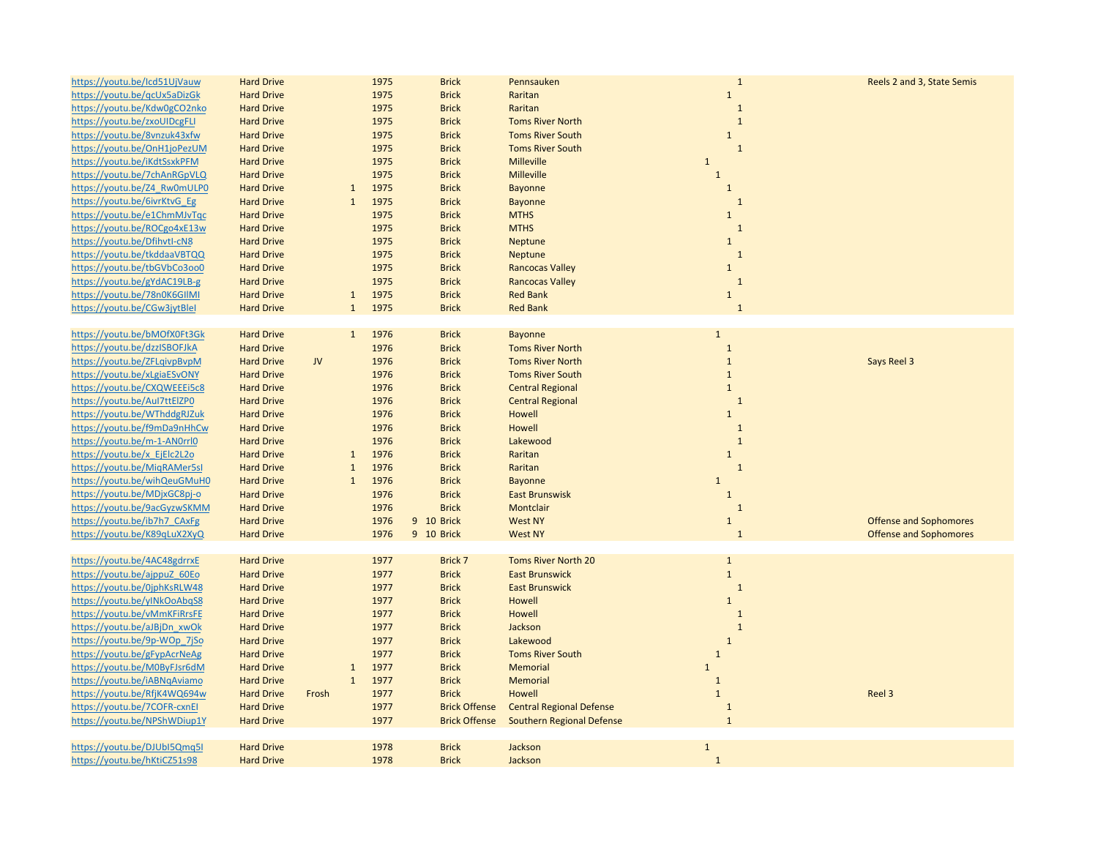| https://youtu.be/lcd51UjVauw | <b>Hard Drive</b> |       |              | 1975 | <b>Brick</b>         | Pennsauken                       | $\mathbf{1}$ | Reels 2 and 3, State Semis    |
|------------------------------|-------------------|-------|--------------|------|----------------------|----------------------------------|--------------|-------------------------------|
| https://youtu.be/qcUx5aDizGk | <b>Hard Drive</b> |       |              | 1975 | <b>Brick</b>         | Raritan                          | $\mathbf{1}$ |                               |
| https://youtu.be/Kdw0gCO2nko | <b>Hard Drive</b> |       |              | 1975 | <b>Brick</b>         | Raritan                          | $\mathbf{1}$ |                               |
| https://youtu.be/zxoUIDcgFLI | <b>Hard Drive</b> |       |              | 1975 | <b>Brick</b>         | <b>Toms River North</b>          | $\mathbf{1}$ |                               |
| https://youtu.be/8vnzuk43xfw | <b>Hard Drive</b> |       |              | 1975 | <b>Brick</b>         | <b>Toms River South</b>          | $\mathbf{1}$ |                               |
| https://youtu.be/OnH1joPezUM | <b>Hard Drive</b> |       |              | 1975 | <b>Brick</b>         | <b>Toms River South</b>          | $\mathbf{1}$ |                               |
| https://youtu.be/iKdtSsxkPFM | <b>Hard Drive</b> |       |              | 1975 | <b>Brick</b>         | <b>Milleville</b>                | $1\,$        |                               |
| https://youtu.be/7chAnRGpVLQ | <b>Hard Drive</b> |       |              | 1975 | <b>Brick</b>         | <b>Milleville</b>                | $\mathbf{1}$ |                               |
| https://youtu.be/Z4 Rw0mULP0 | <b>Hard Drive</b> |       | $\mathbf{1}$ | 1975 | <b>Brick</b>         | Bayonne                          | $\mathbf 1$  |                               |
| https://youtu.be/6ivrKtvG Eg | <b>Hard Drive</b> |       | $\mathbf{1}$ | 1975 | <b>Brick</b>         | <b>Bayonne</b>                   | $\mathbf{1}$ |                               |
| https://youtu.be/e1ChmMJvTqc | <b>Hard Drive</b> |       |              | 1975 | <b>Brick</b>         | <b>MTHS</b>                      | $\mathbf 1$  |                               |
| https://youtu.be/ROCgo4xE13w | <b>Hard Drive</b> |       |              | 1975 | <b>Brick</b>         | <b>MTHS</b>                      | $\mathbf{1}$ |                               |
|                              |                   |       |              |      |                      |                                  |              |                               |
| https://youtu.be/Dfihvtl-cN8 | <b>Hard Drive</b> |       |              | 1975 | <b>Brick</b>         | Neptune                          | $\mathbf{1}$ |                               |
| https://youtu.be/tkddaaVBTQQ | <b>Hard Drive</b> |       |              | 1975 | <b>Brick</b>         | Neptune                          | $\mathbf{1}$ |                               |
| https://youtu.be/tbGVbCo3oo0 | <b>Hard Drive</b> |       |              | 1975 | <b>Brick</b>         | <b>Rancocas Valley</b>           | $\mathbf 1$  |                               |
| https://youtu.be/gYdAC19LB-g | <b>Hard Drive</b> |       |              | 1975 | <b>Brick</b>         | <b>Rancocas Valley</b>           | $\mathbf{1}$ |                               |
| https://youtu.be/78n0K6GIIMI | <b>Hard Drive</b> |       | $\mathbf{1}$ | 1975 | <b>Brick</b>         | <b>Red Bank</b>                  | $\mathbf 1$  |                               |
| https://youtu.be/CGw3jytBlel | <b>Hard Drive</b> |       | $\mathbf{1}$ | 1975 | <b>Brick</b>         | <b>Red Bank</b>                  | $\mathbf{1}$ |                               |
|                              |                   |       |              |      |                      |                                  |              |                               |
| https://youtu.be/bMOfX0Ft3Gk | <b>Hard Drive</b> |       | $\bullet$    | 1976 | <b>Brick</b>         | Bayonne                          | $\mathbf{1}$ |                               |
| https://youtu.be/dzzISBOFJkA | <b>Hard Drive</b> |       |              | 1976 | <b>Brick</b>         | <b>Toms River North</b>          | $\mathbf 1$  |                               |
| https://youtu.be/ZFLqivpBvpM | <b>Hard Drive</b> | JV    |              | 1976 | <b>Brick</b>         | <b>Toms River North</b>          | $\mathbf 1$  | Says Reel 3                   |
| https://youtu.be/xLgiaESvONY | <b>Hard Drive</b> |       |              | 1976 | <b>Brick</b>         | <b>Toms River South</b>          | $\mathbf 1$  |                               |
| https://youtu.be/CXQWEEEi5c8 | <b>Hard Drive</b> |       |              | 1976 | <b>Brick</b>         | <b>Central Regional</b>          | $\mathbf 1$  |                               |
| https://youtu.be/Aul7ttElZP0 | <b>Hard Drive</b> |       |              | 1976 | <b>Brick</b>         | <b>Central Regional</b>          | $\mathbf{1}$ |                               |
| https://youtu.be/WThddgRJZuk | <b>Hard Drive</b> |       |              | 1976 | <b>Brick</b>         | Howell                           | $\mathbf 1$  |                               |
| https://youtu.be/f9mDa9nHhCw | <b>Hard Drive</b> |       |              | 1976 | <b>Brick</b>         | Howell                           | $\mathbf{1}$ |                               |
| https://youtu.be/m-1-AN0rrl0 | <b>Hard Drive</b> |       |              | 1976 | <b>Brick</b>         | Lakewood                         | $\mathbf{1}$ |                               |
| https://youtu.be/x EjElc2L2o | <b>Hard Drive</b> |       | $\mathbf{1}$ | 1976 | <b>Brick</b>         | Raritan                          | $\mathbf{1}$ |                               |
| https://youtu.be/MigRAMer5sl | <b>Hard Drive</b> |       | $\mathbf{1}$ | 1976 | <b>Brick</b>         | Raritan                          | $\mathbf{1}$ |                               |
| https://youtu.be/wihQeuGMuH0 | <b>Hard Drive</b> |       | $\mathbf{1}$ | 1976 | <b>Brick</b>         | Bayonne                          | $\mathbf{1}$ |                               |
| https://youtu.be/MDjxGC8pj-o | <b>Hard Drive</b> |       |              | 1976 | <b>Brick</b>         | <b>East Brunswisk</b>            | $\mathbf 1$  |                               |
| https://youtu.be/9acGyzwSKMM | <b>Hard Drive</b> |       |              | 1976 | <b>Brick</b>         | Montclair                        | $\mathbf 1$  |                               |
| https://youtu.be/ib7h7 CAxFg | <b>Hard Drive</b> |       |              | 1976 | 9 10 Brick           | <b>West NY</b>                   | $\mathbf 1$  | <b>Offense and Sophomores</b> |
| https://youtu.be/K89qLuX2XyQ | <b>Hard Drive</b> |       |              | 1976 | 9 10 Brick           | <b>West NY</b>                   | $\mathbf{1}$ | <b>Offense and Sophomores</b> |
|                              |                   |       |              |      |                      |                                  |              |                               |
| https://youtu.be/4AC48gdrrxE | <b>Hard Drive</b> |       |              | 1977 | Brick 7              | <b>Toms River North 20</b>       | $\mathbf 1$  |                               |
| https://youtu.be/ajppuZ 60Eo | <b>Hard Drive</b> |       |              | 1977 | <b>Brick</b>         | <b>East Brunswick</b>            | $\mathbf 1$  |                               |
| https://youtu.be/0jphKsRLW48 | <b>Hard Drive</b> |       |              | 1977 | <b>Brick</b>         | <b>East Brunswick</b>            | $\mathbf{1}$ |                               |
| https://youtu.be/yINkOoAbqS8 | <b>Hard Drive</b> |       |              | 1977 | <b>Brick</b>         | Howell                           | $\mathbf 1$  |                               |
| https://youtu.be/vMmKFiRrsFE | <b>Hard Drive</b> |       |              | 1977 | <b>Brick</b>         | Howell                           | $\mathbf{1}$ |                               |
| https://youtu.be/aJBjDn_xwOk | <b>Hard Drive</b> |       |              | 1977 | <b>Brick</b>         | Jackson                          | $1\,$        |                               |
| https://youtu.be/9p-WOp 7jSo | <b>Hard Drive</b> |       |              | 1977 | <b>Brick</b>         | Lakewood                         | $\mathbf 1$  |                               |
| https://youtu.be/gFypAcrNeAg | <b>Hard Drive</b> |       |              | 1977 | <b>Brick</b>         | <b>Toms River South</b>          | $\mathbf{1}$ |                               |
| https://youtu.be/M0ByFJsr6dM | <b>Hard Drive</b> |       | $\mathbf{1}$ | 1977 | <b>Brick</b>         | Memorial                         | $\mathbf{1}$ |                               |
| https://youtu.be/iABNqAviamo | <b>Hard Drive</b> |       | $\mathbf{1}$ | 1977 | <b>Brick</b>         | Memorial                         | $\mathbf{1}$ |                               |
| https://youtu.be/RfjK4WQ694w | <b>Hard Drive</b> | Frosh |              | 1977 | <b>Brick</b>         | Howell                           | $\mathbf{1}$ | Reel 3                        |
| https://youtu.be/7COFR-cxnEl | <b>Hard Drive</b> |       |              | 1977 | <b>Brick Offense</b> | <b>Central Regional Defense</b>  | $\mathbf{1}$ |                               |
| https://youtu.be/NPShWDiup1Y | <b>Hard Drive</b> |       |              | 1977 | <b>Brick Offense</b> | <b>Southern Regional Defense</b> | $\mathbf 1$  |                               |
|                              |                   |       |              |      |                      |                                  |              |                               |
| https://youtu.be/DJUbl5Qmq5I | <b>Hard Drive</b> |       |              | 1978 | <b>Brick</b>         | Jackson                          | $1\,$        |                               |
| https://youtu.be/hKtiCZ51s98 | <b>Hard Drive</b> |       |              | 1978 | <b>Brick</b>         | Jackson                          | $\mathbf{1}$ |                               |
|                              |                   |       |              |      |                      |                                  |              |                               |